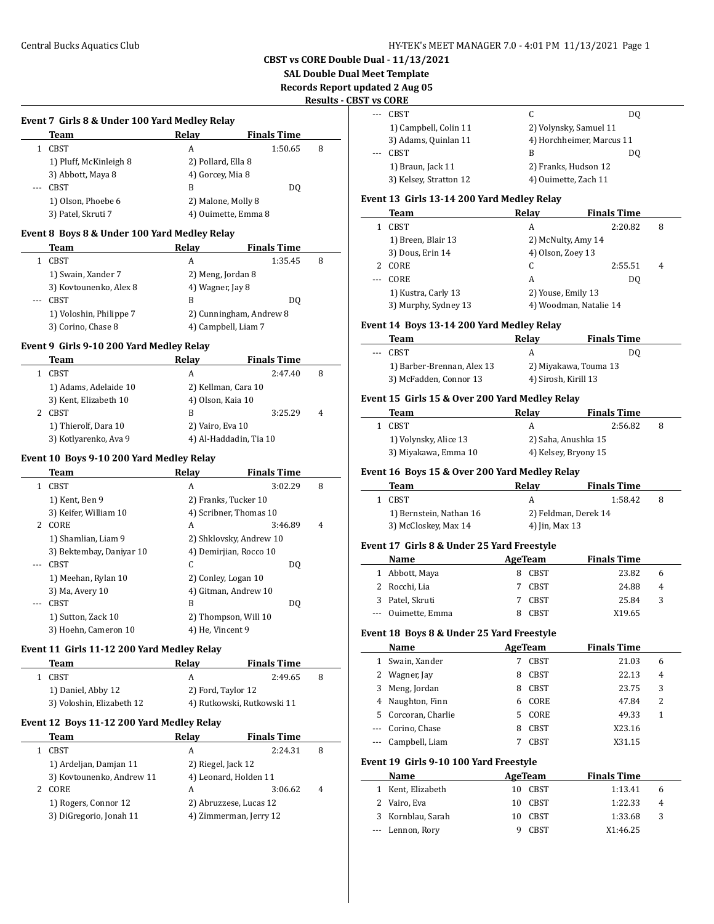$\overline{a}$ 

 $\overline{a}$ 

**CBST vs CORE Double Dual - 11/13/2021**

**SAL Double Dual Meet Template**

**Records Report updated 2 Aug 05**

 $\sim$ 

 $\sim$ 

 $\overline{a}$ 

 $\overline{a}$ 

# **Results - CBST vs CORE**

# **Event 7 Girls 8 & Under 100 Yard Medley Relay Team Relay Finals Time**

| <b>CBST</b>            | А                   | 1:50.65 | 8 |
|------------------------|---------------------|---------|---|
| 1) Pluff, McKinleigh 8 | 2) Pollard, Ella 8  |         |   |
| 3) Abbott, Maya 8      | 4) Gorcey, Mia 8    |         |   |
| <b>CBST</b>            | в                   | DO.     |   |
| 1) Olson, Phoebe 6     | 2) Malone, Molly 8  |         |   |
| 3) Patel, Skruti 7     | 4) Ouimette, Emma 8 |         |   |

#### **Event 8 Boys 8 & Under 100 Yard Medley Relay**

| Team                    | Relay             | <b>Finals Time</b>      |   |
|-------------------------|-------------------|-------------------------|---|
| <b>CBST</b>             | A                 | 1:35.45                 | 8 |
| 1) Swain, Xander 7      | 2) Meng, Jordan 8 |                         |   |
| 3) Kovtounenko, Alex 8  | 4) Wagner, Jay 8  |                         |   |
| <b>CBST</b>             | в                 | DO                      |   |
| 1) Voloshin, Philippe 7 |                   | 2) Cunningham, Andrew 8 |   |
| 3) Corino, Chase 8      |                   | 4) Campbell, Liam 7     |   |

### **Event 9 Girls 9-10 200 Yard Medley Relay**

| Team                  | Relay                  | <b>Finals Time</b> |   |
|-----------------------|------------------------|--------------------|---|
| CBST                  | A                      | 2:47.40            | 8 |
| 1) Adams, Adelaide 10 | 2) Kellman, Cara 10    |                    |   |
| 3) Kent, Elizabeth 10 | 4) Olson, Kaia 10      |                    |   |
| <b>CBST</b>           | В                      | 3:25.29            | 4 |
| 1) Thierolf, Dara 10  | 2) Vairo, Eva 10       |                    |   |
| 3) Kotlyarenko, Ava 9 | 4) Al-Haddadin, Tia 10 |                    |   |

### **Event 10 Boys 9-10 200 Yard Medley Relay**

|       | Team                     | Relav            | <b>Finals Time</b>      |   |
|-------|--------------------------|------------------|-------------------------|---|
| 1     | <b>CBST</b>              | A                | 3:02.29                 | 8 |
|       | 1) Kent, Ben 9           |                  | 2) Franks, Tucker 10    |   |
|       | 3) Keifer, William 10    |                  | 4) Scribner, Thomas 10  |   |
| 2     | <b>CORE</b>              | A                | 3:46.89                 | 4 |
|       | 1) Shamlian, Liam 9      |                  | 2) Shklovsky, Andrew 10 |   |
|       | 3) Bektembay, Daniyar 10 |                  | 4) Demirijan, Rocco 10  |   |
|       | <b>CBST</b>              | C                | D <sub>0</sub>          |   |
|       | 1) Meehan, Rylan 10      |                  | 2) Conley, Logan 10     |   |
|       | 3) Ma, Avery 10          |                  | 4) Gitman, Andrew 10    |   |
| $---$ | CBST                     | B                | DO.                     |   |
|       | 1) Sutton, Zack 10       |                  | 2) Thompson, Will 10    |   |
|       | 3) Hoehn, Cameron 10     | 4) He, Vincent 9 |                         |   |
|       |                          |                  |                         |   |

# **Event 11 Girls 11-12 200 Yard Medley Relay**

| Team                      | Relav                      | <b>Finals Time</b> |   |  |
|---------------------------|----------------------------|--------------------|---|--|
| CBST                      |                            | 2:49.65            | 8 |  |
| 1) Daniel, Abby 12        |                            | 2) Ford, Taylor 12 |   |  |
| 3) Voloshin, Elizabeth 12 | 4) Rutkowski, Rutkowski 11 |                    |   |  |

### **Event 12 Boys 11-12 200 Yard Medley Relay**

| Team                      | Relay | <b>Finals Time</b>     |   |
|---------------------------|-------|------------------------|---|
| <b>CBST</b>               | A     | 2:24.31                | 8 |
| 1) Ardeljan, Damjan 11    |       | 2) Riegel, Jack 12     |   |
| 3) Kovtounenko, Andrew 11 |       | 4) Leonard, Holden 11  |   |
| CORE                      | A     | 3:06.62                | 4 |
| 1) Rogers, Connor 12      |       | 2) Abruzzese, Lucas 12 |   |
| 3) DiGregorio, Jonah 11   |       | 4) Zimmerman, Jerry 12 |   |
|                           |       |                        |   |

|     | VS LUKE-               |                           |    |
|-----|------------------------|---------------------------|----|
| --- | <b>CBST</b>            | C                         | DO |
|     | 1) Campbell, Colin 11  | 2) Volynsky, Samuel 11    |    |
|     | 3) Adams, Quinlan 11   | 4) Horchheimer, Marcus 11 |    |
| --- | <b>CBST</b>            | В                         | DO |
|     | 1) Braun, Jack 11      | 2) Franks, Hudson 12      |    |
|     | 3) Kelsey, Stratton 12 | 4) Ouimette, Zach 11      |    |

## **Event 13 Girls 13-14 200 Yard Medley Relay**

| Team                 | Relay                  | <b>Finals Time</b> |   |
|----------------------|------------------------|--------------------|---|
| <b>CBST</b>          | A                      | 2:20.82            | 8 |
| 1) Breen, Blair 13   | 2) McNulty, Amy 14     |                    |   |
| 3) Dous, Erin 14     | 4) Olson, Zoey 13      |                    |   |
| CORE                 | C                      | 2:55.51            | 4 |
| CORE                 | A                      | DO.                |   |
| 1) Kustra, Carly 13  | 2) Youse, Emily 13     |                    |   |
| 3) Murphy, Sydney 13 | 4) Woodman, Natalie 14 |                    |   |

## **Event 14 Boys 13-14 200 Yard Medley Relay**

| Team                       | Relav                | <b>Finals Time</b>    |
|----------------------------|----------------------|-----------------------|
| <b>CBST</b>                | А                    | DO.                   |
| 1) Barber-Brennan, Alex 13 |                      | 2) Miyakawa, Touma 13 |
| 3) McFadden, Connor 13     | 4) Sirosh, Kirill 13 |                       |

## **Event 15 Girls 15 & Over 200 Yard Medley Relay**

| Team                  | Relav                | <b>Finals Time</b> |
|-----------------------|----------------------|--------------------|
| <b>CBST</b>           |                      | 2:56.82<br>8       |
| 1) Volynsky, Alice 13 | 2) Saha, Anushka 15  |                    |
| 3) Miyakawa, Emma 10  | 4) Kelsey, Bryony 15 |                    |

#### **Event 16 Boys 15 & Over 200 Yard Medley Relay**

| Team                    | Relav          | <b>Finals Time</b>   |   |
|-------------------------|----------------|----------------------|---|
| <b>CBST</b>             |                | 1:58.42              | 8 |
| 1) Bernstein, Nathan 16 |                | 2) Feldman, Derek 14 |   |
| 3) McCloskey, Max 14    | 4) Jin, Max 13 |                      |   |

# **Event 17 Girls 8 & Under 25 Yard Freestyle**

| Name               | AgeTeam     | <b>Finals Time</b> |   |
|--------------------|-------------|--------------------|---|
| 1 Abbott, Maya     | CBST        | 23.82              | 6 |
| 2 Rocchi, Lia      | <b>CBST</b> | 24.88              | 4 |
| 3 Patel, Skruti    | <b>CBST</b> | 25.84              | 3 |
| --- Ouimette, Emma | <b>CBST</b> | X19.65             |   |

### **Event 18 Boys 8 & Under 25 Yard Freestyle**

|   | Name                | AgeTeam          | <b>Finals Time</b>      |  |
|---|---------------------|------------------|-------------------------|--|
|   | Swain, Xander       | <b>CBST</b>      | 21.03<br>6              |  |
|   | 2 Wagner, Jay       | <b>CBST</b><br>8 | 22.13<br>$\overline{4}$ |  |
| 3 | Meng, Jordan        | <b>CBST</b><br>8 | 23.75<br>3              |  |
|   | 4 Naughton, Finn    | CORE<br>6        | 2<br>47.84              |  |
|   | 5 Corcoran, Charlie | CORE<br>5.       | 49.33<br>1              |  |
|   | --- Corino, Chase   | <b>CBST</b><br>8 | X23.16                  |  |
|   | --- Campbell, Liam  | <b>CBST</b>      | X31.15                  |  |

#### **Event 19 Girls 9-10 100 Yard Freestyle**

| Name              | AgeTeam     | <b>Finals Time</b> |   |
|-------------------|-------------|--------------------|---|
| 1 Kent, Elizabeth | 10 CBST     | 1:13.41            | h |
| 2 Vairo, Eva      | 10 CBST     | 1:22.33            | 4 |
| 3 Kornblau, Sarah | 10 CBST     | 1:33.68            |   |
| --- Lennon, Rory  | <b>CBST</b> | X1:46.25           |   |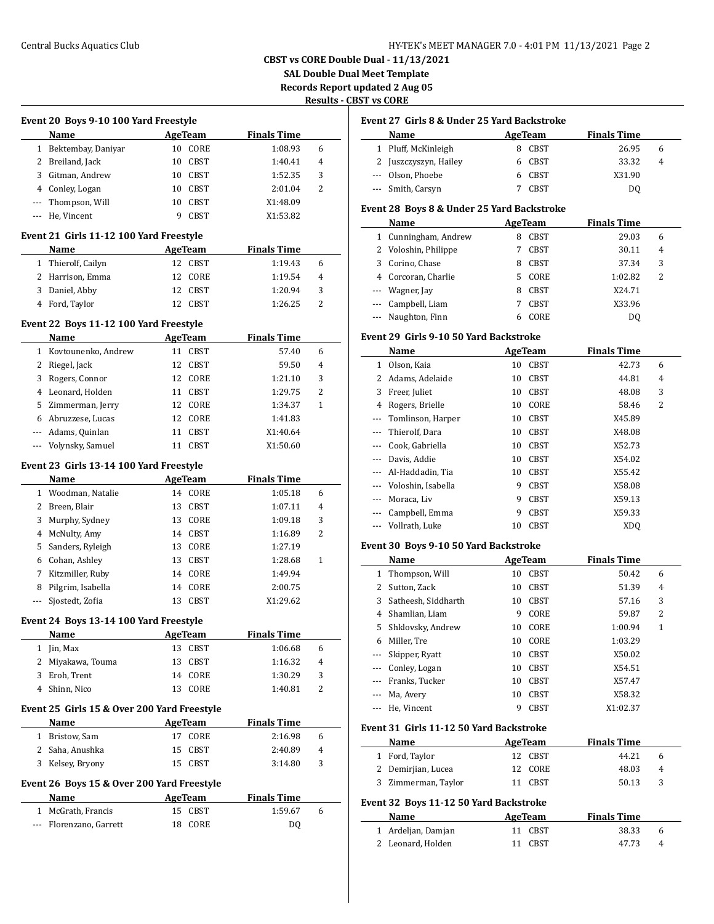**SAL Double Dual Meet Template**

**Records Report updated 2 Aug 05 RST vs CORE** 

 $\overline{\phantom{a}}$ 

 $\overline{\phantom{0}}$ 

 $\sim$ 

|     |                                             |                   |                    | Results - Cl |
|-----|---------------------------------------------|-------------------|--------------------|--------------|
|     | Event 20 Boys 9-10 100 Yard Freestyle       |                   |                    |              |
|     | Name                                        | <b>AgeTeam</b>    | Finals Time        |              |
| 1   | Bektembay, Daniyar                          | 10<br>CORE        | 1:08.93            | 6            |
| 2   | Breiland, Jack                              | 10<br><b>CBST</b> | 1:40.41            | 4            |
| 3   | Gitman, Andrew                              | CBST<br>10        | 1:52.35            | 3            |
|     | 4 Conley, Logan                             | 10<br>CBST        | 2:01.04            | 2            |
| --- | Thompson, Will                              | 10<br>CBST        | X1:48.09           |              |
| --- | He, Vincent                                 | 9<br><b>CBST</b>  | X1:53.82           |              |
|     | Event 21 Girls 11-12 100 Yard Freestyle     |                   |                    |              |
|     | Name                                        | <b>AgeTeam</b>    | <b>Finals Time</b> |              |
|     | 1 Thierolf, Cailyn                          | 12<br>CBST        | 1:19.43            | 6            |
|     | 2 Harrison, Emma                            | 12<br>CORE        | 1:19.54            | 4            |
| 3   | Daniel, Abby                                | 12<br>CBST        | 1:20.94            | 3            |
|     | 4 Ford, Taylor                              | 12 CBST           | 1:26.25            | 2            |
|     | Event 22 Boys 11-12 100 Yard Freestyle      |                   |                    |              |
|     | Name                                        | <b>AgeTeam</b>    | <b>Finals Time</b> |              |
|     | 1 Kovtounenko, Andrew                       | 11 CBST           | 57.40              | 6            |
|     | 2 Riegel, Jack                              | 12<br>CBST        | 59.50              | 4            |
| 3   | Rogers, Connor                              | 12<br>CORE        | 1:21.10            | 3            |
|     | 4 Leonard, Holden                           | 11 CBST           | 1:29.75            | 2            |
| 5   | Zimmerman, Jerry                            | 12 CORE           | 1:34.37            | 1            |
| 6   | Abruzzese, Lucas                            | 12 CORE           | 1:41.83            |              |
| --- | Adams, Quinlan                              | 11<br><b>CBST</b> | X1:40.64           |              |
| --- | Volynsky, Samuel                            | 11 CBST           | X1:50.60           |              |
|     | Event 23 Girls 13-14 100 Yard Freestyle     |                   |                    |              |
|     | Name                                        | AgeTeam           | <b>Finals Time</b> |              |
|     | 1 Woodman, Natalie                          | 14 CORE           | 1:05.18            | 6            |
|     | 2 Breen, Blair                              | 13<br>CBST        | 1:07.11            | 4            |
| 3   | Murphy, Sydney                              | 13<br>CORE        | 1:09.18            | 3            |
| 4   | McNulty, Amy                                | 14 CBST           | 1:16.89            | 2            |
| 5   | Sanders, Ryleigh                            | 13 CORE           | 1:27.19            |              |
| 6   | Cohan, Ashley                               | 13 CBST           | 1:28.68            | 1            |
| 7   | Kitzmiller, Ruby                            | 14<br>CORE        | 1:49.94            |              |
| 8   | Pilgrim, Isabella                           | 14<br>CORE        | 2:00.75            |              |
| --- | Sjostedt, Zofia                             | 13<br><b>CBST</b> | X1:29.62           |              |
|     | Event 24 Boys 13-14 100 Yard Freestyle      |                   |                    |              |
|     | Name                                        | <b>AgeTeam</b>    | <b>Finals Time</b> |              |
|     | 1 Jin, Max                                  | 13 CBST           | 1:06.68            | 6            |
|     | 2 Miyakawa, Touma                           | 13 CBST           | 1:16.32            | 4            |
|     | 3 Eroh, Trent                               | 14 CORE           | 1:30.29            | 3            |
|     | 4 Shinn, Nico                               | 13 CORE           | 1:40.81            | 2            |
|     | Event 25 Girls 15 & Over 200 Yard Freestyle |                   |                    |              |
|     | Name                                        | <b>AgeTeam</b>    | <b>Finals Time</b> |              |
|     | 1 Bristow, Sam                              | 17 CORE           | 2:16.98            | 6            |
| 2   | Saha, Anushka                               | 15<br>CBST        | 2:40.89            | 4            |
|     | 3 Kelsey, Bryony                            | 15<br><b>CBST</b> | 3:14.80            | 3            |
|     | Event 26 Boys 15 & Over 200 Yard Freestyle  |                   |                    |              |
|     | Name                                        | <b>AgeTeam</b>    | <b>Finals Time</b> |              |
|     | 1 McGrath, Francis                          | <b>CBST</b><br>15 | 1:59.67            | 6            |

#### **Event 27 Girls 8 & Under 25 Yard Backstroke**

| Name                  | AgeTeam | <b>Finals Time</b> |              |
|-----------------------|---------|--------------------|--------------|
| 1 Pluff, McKinleigh   | 8 CBST  | 26.95              | <sub>6</sub> |
| 2 Juszczyszyn, Hailey | 6 CBST  | 33.32              | 4            |
| --- Olson, Phoebe     | 6 CBST  | X31.90             |              |
| --- Smith, Carsyn     | CBST    | DΟ                 |              |

#### **Event 28 Boys 8 & Under 25 Yard Backstroke**

|   | Name                 |    | AgeTeam     | <b>Finals Time</b> |                |  |
|---|----------------------|----|-------------|--------------------|----------------|--|
|   | 1 Cunningham, Andrew | 8  | <b>CBST</b> | 29.03              | 6              |  |
|   | 2 Voloshin, Philippe |    | <b>CBST</b> | 30.11              | $\overline{4}$ |  |
| 3 | Corino, Chase        | 8  | <b>CBST</b> | 37.34              | 3              |  |
|   | 4 Corcoran, Charlie  | 5. | CORE        | 1:02.82            | 2              |  |
|   | --- Wagner, Jay      | 8  | <b>CBST</b> | X24.71             |                |  |
|   | --- Campbell, Liam   |    | <b>CBST</b> | X33.96             |                |  |
|   | Naughton, Finn       |    | CORE        | DO.                |                |  |

#### **Event 29 Girls 9-10 50 Yard Backstroke**

|     | Name               |    | AgeTeam     | <b>Finals Time</b> |   |  |
|-----|--------------------|----|-------------|--------------------|---|--|
| 1   | Olson, Kaia        | 10 | <b>CBST</b> | 42.73              | 6 |  |
| 2   | Adams, Adelaide    | 10 | <b>CBST</b> | 44.81              | 4 |  |
| 3   | Freer, Juliet      | 10 | <b>CBST</b> | 48.08              | 3 |  |
| 4   | Rogers, Brielle    | 10 | CORE        | 58.46              | 2 |  |
|     | Tomlinson, Harper  | 10 | <b>CBST</b> | X45.89             |   |  |
|     | Thierolf, Dara     | 10 | <b>CBST</b> | X48.08             |   |  |
|     | Cook, Gabriella    | 10 | <b>CBST</b> | X52.73             |   |  |
|     | Davis, Addie       | 10 | <b>CBST</b> | X54.02             |   |  |
|     | Al-Haddadin, Tia   | 10 | <b>CBST</b> | X55.42             |   |  |
|     | Voloshin, Isabella | 9  | <b>CBST</b> | X58.08             |   |  |
|     | Moraca, Liv        | 9  | <b>CBST</b> | X59.13             |   |  |
|     | Campbell, Emma     | 9  | <b>CBST</b> | X59.33             |   |  |
| --- | Vollrath, Luke     | 10 | <b>CBST</b> | X <sub>D</sub> O   |   |  |

#### **Event 30 Boys 9-10 50 Yard Backstroke**

|              | Name                |    | AgeTeam     | <b>Finals Time</b> |   |
|--------------|---------------------|----|-------------|--------------------|---|
| $\mathbf{1}$ | Thompson, Will      | 10 | <b>CBST</b> | 50.42              | 6 |
| 2            | Sutton, Zack        | 10 | <b>CBST</b> | 51.39              | 4 |
| 3            | Satheesh, Siddharth | 10 | <b>CBST</b> | 57.16              | 3 |
| 4            | Shamlian, Liam      | 9  | CORE        | 59.87              | 2 |
|              | 5 Shklovsky, Andrew | 10 | CORE        | 1:00.94            | 1 |
| 6            | Miller, Tre         | 10 | CORE        | 1:03.29            |   |
| $\cdots$     | Skipper, Ryatt      | 10 | <b>CBST</b> | X50.02             |   |
|              | Conley, Logan       | 10 | <b>CBST</b> | X54.51             |   |
|              | Franks, Tucker      | 10 | <b>CBST</b> | X57.47             |   |
|              | Ma, Avery           | 10 | <b>CBST</b> | X58.32             |   |
|              | He, Vincent         | 9  | <b>CBST</b> | X1:02.37           |   |

### **Event 31 Girls 11-12 50 Yard Backstroke**

| Name                | AgeTeam | <b>Finals Time</b> |              |
|---------------------|---------|--------------------|--------------|
| 1 Ford, Taylor      | 12 CBST | 44.21              | <sub>6</sub> |
| 2 Demirjian, Lucea  | 12 CORE | 48.03              | 4            |
| 3 Zimmerman, Taylor | 11 CBST | 50.13              | -3           |

# **Event 32 Boys 11-12 50 Yard Backstroke**

| Name               | AgeTeam | <b>Finals Time</b> |  |
|--------------------|---------|--------------------|--|
| 1 Ardeljan, Damjan | 11 CBST | 38.33<br>6         |  |
| 2 Leonard, Holden  | 11 CBST | 47.73<br>4         |  |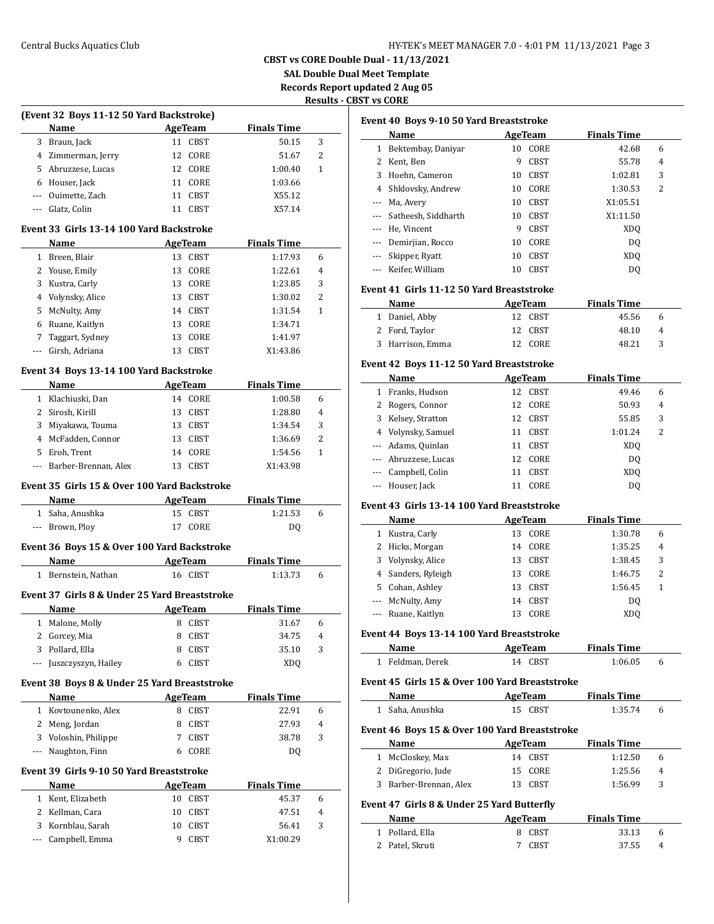**SAL Double Dual Meet Template**

**Records Report updated 2 Aug 05 Results Results** 

|     | (Event 32 Boys 11-12 50 Yard Backstroke)                                 |                          |                           |                               | <b>Results - CBS</b> |
|-----|--------------------------------------------------------------------------|--------------------------|---------------------------|-------------------------------|----------------------|
|     | Name                                                                     |                          | <b>AgeTeam</b>            | <b>Finals Time</b>            |                      |
|     | 3 Braun, Jack                                                            |                          | 11 CBST                   | 50.15                         | 3                    |
|     | 4 Zimmerman, Jerry                                                       |                          | 12 CORE                   | 51.67                         | 2                    |
|     | 5 Abruzzese, Lucas                                                       |                          | 12 CORE                   | 1:00.40                       | 1                    |
|     | 6 Houser, Jack                                                           |                          | 11 CORE                   | 1:03.66                       |                      |
|     |                                                                          |                          |                           |                               |                      |
|     | --- Ouimette, Zach                                                       |                          | 11 CBST<br>11 CBST        | X55.12                        |                      |
|     | --- Glatz, Colin                                                         |                          |                           | X57.14                        |                      |
|     | Event 33 Girls 13-14 100 Yard Backstroke                                 |                          |                           |                               |                      |
|     | Name                                                                     | <b>Example 2</b> AgeTeam |                           | <b>Finals Time</b>            |                      |
|     | 1 Breen, Blair                                                           |                          | 13 CBST                   | 1:17.93                       | 6                    |
|     | 2 Youse, Emily                                                           |                          | 13 CORE                   | 1:22.61                       | 4                    |
|     | 3 Kustra, Carly                                                          |                          | 13 CORE                   | 1:23.85                       | 3                    |
|     | 4 Volynsky, Alice                                                        |                          | 13 CBST                   | 1:30.02                       | 2                    |
|     | 5 McNulty, Amy                                                           |                          | 14 CBST                   | 1:31.54                       | 1                    |
|     | 6 Ruane, Kaitlyn                                                         |                          | 13 CORE                   | 1:34.71                       |                      |
|     | 7 Taggart, Sydney                                                        |                          | 13 CORE                   | 1:41.97                       |                      |
|     | --- Girsh, Adriana                                                       |                          | 13 CBST                   | X1:43.86                      |                      |
|     |                                                                          |                          |                           |                               |                      |
|     | Event 34 Boys 13-14 100 Yard Backstroke                                  |                          |                           |                               |                      |
|     | Name                                                                     |                          | <b>AgeTeam</b>            | <b>Finals Time</b>            |                      |
|     | 1 Klachiuski, Dan                                                        |                          | 14 CORE                   | 1:00.58                       | 6                    |
|     | 2 Sirosh, Kirill                                                         |                          | 13 CBST                   | 1:28.80                       | 4                    |
|     | 3 Miyakawa, Touma                                                        |                          | 13 CBST                   | 1:34.54                       | 3                    |
|     | 4 McFadden, Connor                                                       |                          | 13 CBST                   | 1:36.69                       | 2                    |
|     |                                                                          |                          |                           |                               |                      |
|     | 5 Eroh, Trent                                                            |                          | 14 CORE                   | 1:54.56                       | 1                    |
|     | --- Barber-Brennan, Alex<br>Event 35 Girls 15 & Over 100 Yard Backstroke |                          | 13 CBST                   | X1:43.98                      |                      |
|     | Name                                                                     |                          | <b>AgeTeam</b>            | <b>Finals Time</b>            |                      |
|     | 1 Saha, Anushka                                                          |                          | 15 CBST                   | 1:21.53                       | 6                    |
|     | --- Brown, Ploy                                                          |                          | 17 CORE                   | DQ                            |                      |
|     | Event 36 Boys 15 & Over 100 Yard Backstroke                              |                          |                           |                               |                      |
|     | Name                                                                     |                          |                           |                               |                      |
|     | 1 Bernstein, Nathan                                                      |                          | <b>AgeTeam</b><br>16 CBST | <b>Finals Time</b><br>1:13.73 | 6                    |
|     |                                                                          |                          |                           |                               |                      |
|     | Event 37 Girls 8 & Under 25 Yard Breaststroke                            |                          |                           |                               |                      |
|     | <b>Name</b>                                                              | AgeTeam                  |                           | <b>Finals Time</b>            |                      |
| 1   | Malone, Molly                                                            | 8                        | CBST                      | 31.67                         | 6                    |
|     | 2 Gorcey, Mia                                                            | 8                        | <b>CBST</b>               | 34.75                         | 4                    |
|     | 3 Pollard, Ella                                                          | 8                        | <b>CBST</b>               | 35.10                         | 3                    |
| --- | Juszczyszyn, Hailey                                                      | 6                        | <b>CBST</b>               | XDQ                           |                      |
|     |                                                                          |                          |                           |                               |                      |
|     | Event 38 Boys 8 & Under 25 Yard Breaststroke                             |                          |                           |                               |                      |
|     | Name                                                                     |                          | <b>AgeTeam</b>            | <b>Finals Time</b>            |                      |
|     | 1 Kovtounenko, Alex                                                      | 8                        | <b>CBST</b>               | 22.91                         | 6                    |
|     | 2 Meng, Jordan                                                           | 8                        | <b>CBST</b>               | 27.93                         | 4                    |
|     | 3 Voloshin, Philippe                                                     | 7                        | CBST                      | 38.78                         | 3                    |
| --- | Naughton, Finn                                                           | 6                        | CORE                      | DQ                            |                      |
|     | Event 39 Girls 9-10 50 Yard Breaststroke                                 |                          |                           |                               |                      |
|     | Name                                                                     |                          | AgeTeam                   | <b>Finals Time</b>            |                      |
|     | 1 Kent, Elizabeth                                                        | 10                       | <b>CBST</b>               | 45.37                         | 6                    |
|     | 2 Kellman, Cara                                                          | 10                       | CBST                      | 47.51                         | 4                    |
| 3   | Kornblau, Sarah                                                          | 10                       | CBST                      | 56.41                         | 3                    |

|              | Event 40 Boys 9-10 50 Yard Breaststroke        |                |                    |                               |   |
|--------------|------------------------------------------------|----------------|--------------------|-------------------------------|---|
|              | Name                                           |                | <b>AgeTeam</b>     | <b>Finals Time</b>            |   |
| 1            | Bektembay, Daniyar                             | 10             | CORE               | 42.68                         | 6 |
| 2            | Kent, Ben                                      | 9              | <b>CBST</b>        | 55.78                         | 4 |
| 3            | Hoehn, Cameron                                 | 10             | CBST               | 1:02.81                       | 3 |
| 4            | Shklovsky, Andrew                              |                | 10 CORE            | 1:30.53                       | 2 |
| ---          | Ma, Avery                                      | 10             | CBST               | X1:05.51                      |   |
| ---          | Satheesh, Siddharth                            |                | 10 CBST            | X1:11.50                      |   |
| ---          | He, Vincent                                    | 9              | <b>CBST</b>        | XDQ                           |   |
| ---          | Demirjian, Rocco                               | 10             | CORE               | DQ                            |   |
| ---          | Skipper, Ryatt                                 | 10             | <b>CBST</b>        | XDQ                           |   |
| ---          | Keifer, William                                | 10             | <b>CBST</b>        | <b>DQ</b>                     |   |
|              | Event 41  Girls 11-12 50 Yard Breaststroke     |                |                    |                               |   |
|              | Name                                           |                | <b>AgeTeam</b>     | <b>Finals Time</b>            |   |
| $\mathbf{1}$ | Daniel, Abby                                   | 12             | <b>CBST</b>        | 45.56                         | 6 |
| 2            | Ford, Taylor                                   | 12             | <b>CBST</b>        | 48.10                         | 4 |
| 3            | Harrison, Emma                                 | 12             | CORE               | 48.21                         | 3 |
|              | Event 42 Boys 11-12 50 Yard Breaststroke       |                |                    |                               |   |
|              | Name                                           | <b>AgeTeam</b> |                    | <b>Finals Time</b>            |   |
| 1            | Franks, Hudson                                 | 12             | <b>CBST</b>        | 49.46                         | 6 |
| 2            | Rogers, Connor                                 | 12             | CORE               | 50.93                         | 4 |
| 3            | Kelsey, Stratton                               | 12             | <b>CBST</b>        | 55.85                         | 3 |
| 4            | Volynsky, Samuel                               | 11             | <b>CBST</b>        | 1:01.24                       | 2 |
| ---          | Adams, Quinlan                                 | 11             | <b>CBST</b>        | XDQ                           |   |
| ---          | Abruzzese, Lucas                               | 12             | CORE               | DQ                            |   |
| ---          | Campbell, Colin                                | 11             | <b>CBST</b>        | <b>XDQ</b>                    |   |
| ---          | Houser, Jack                                   | 11             | CORE               | DQ                            |   |
|              | Event 43  Girls 13-14 100 Yard Breaststroke    |                |                    |                               |   |
|              | Name                                           |                |                    | <b>Finals Time</b>            |   |
|              |                                                |                | <b>AgeTeam</b>     |                               |   |
|              |                                                |                |                    |                               |   |
| 1            | Kustra, Carly                                  | 13             | CORE               | 1:30.78                       | 6 |
| 2            | Hicks, Morgan                                  | 14             | CORE               | 1:35.25                       | 4 |
| 3            | Volynsky, Alice                                |                | 13 CBST            | 1:38.45                       | 3 |
| 4            | Sanders, Ryleigh                               |                | 13 CORE            | 1:46.75                       | 2 |
| 5            | Cohan, Ashley                                  | 13             | <b>CBST</b>        | 1:56.45                       | 1 |
| ---          | McNulty, Amy                                   | 14             | <b>CBST</b>        | DQ                            |   |
| ---          | Ruane, Kaitlyn                                 | 13             | CORE               | <b>XDQ</b>                    |   |
|              | Event 44 Boys 13-14 100 Yard Breaststroke      |                |                    |                               |   |
|              | Name                                           |                | <b>AgeTeam</b>     | <b>Finals Time</b>            |   |
| $\mathbf{1}$ | Feldman, Derek                                 | 14             | <b>CBST</b>        | 1:06.05                       | 6 |
|              |                                                |                |                    |                               |   |
|              | Event 45 Girls 15 & Over 100 Yard Breaststroke |                |                    |                               |   |
| $\mathbf{1}$ | Name<br>Saha, Anushka                          |                | AgeTeam<br>15 CBST | <b>Finals Time</b><br>1:35.74 | 6 |
|              |                                                |                |                    |                               |   |
|              | Event 46 Boys 15 & Over 100 Yard Breaststroke  |                |                    |                               |   |
|              | Name                                           |                | <b>AgeTeam</b>     | <b>Finals Time</b>            |   |
| $\mathbf{1}$ | McCloskey, Max                                 |                | 14 CBST            | 1:12.50                       | 6 |
| 2            | DiGregorio, Jude                               | 15             | CORE               | 1:25.56                       | 4 |
| 3            | Barber-Brennan, Alex                           | 13             | <b>CBST</b>        | 1:56.99                       | 3 |
|              | Event 47 Girls 8 & Under 25 Yard Butterfly     |                |                    |                               |   |
|              | Name                                           |                | <b>AgeTeam</b>     | <b>Finals Time</b>            |   |
| 1            | Pollard, Ella                                  | 8              | <b>CBST</b>        | 33.13                         | 6 |
| 2            | Patel, Skruti                                  | 7              | CBST               | 37.55                         | 4 |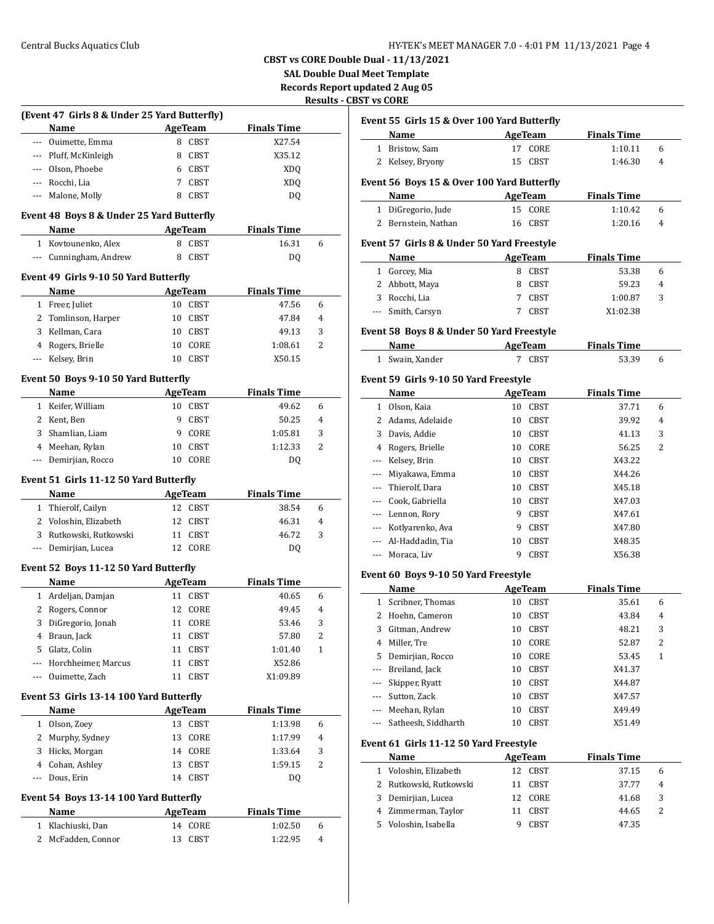**SAL Double Dual Meet Template**

**Records Report updated 2 Aug 05**

| <b>Results - CBST vs CORE</b> |  |  |  |
|-------------------------------|--|--|--|
|-------------------------------|--|--|--|

|     | (Event 47 Girls 8 & Under 25 Yard Butterfly) |                            |                    |   |
|-----|----------------------------------------------|----------------------------|--------------------|---|
|     | Name                                         | <b>AgeTeam</b>             | <b>Finals Time</b> |   |
|     | --- Ouimette, Emma                           | 8 CBST                     | X27.54             |   |
|     | --- Pluff, McKinleigh                        | 8<br><b>CBST</b>           | X35.12             |   |
|     | --- Olson, Phoebe                            | 6 CBST                     | XDQ                |   |
|     | --- Rocchi, Lia                              | $7^{\circ}$<br><b>CBST</b> | <b>XDQ</b>         |   |
|     | --- Malone, Molly                            | <b>CBST</b><br>8           | DQ                 |   |
|     | Event 48 Boys 8 & Under 25 Yard Butterfly    |                            |                    |   |
|     | Name                                         | <b>AgeTeam</b>             | <b>Finals Time</b> |   |
|     | 1 Kovtounenko, Alex                          | <b>CBST</b><br>8           | 16.31              | 6 |
|     | Cunningham, Andrew                           | 8 CBST                     | DQ                 |   |
|     | Event 49 Girls 9-10 50 Yard Butterfly        |                            |                    |   |
|     | Name                                         | <b>AgeTeam</b>             | <b>Finals Time</b> |   |
|     | 1 Freer, Juliet                              | 10 CBST                    | 47.56              | 6 |
|     | 2 Tomlinson, Harper                          | 10<br><b>CBST</b>          | 47.84              | 4 |
|     | 3 Kellman, Cara                              | 10<br><b>CBST</b>          | 49.13              | 3 |
|     | 4 Rogers, Brielle                            | 10 CORE                    | 1:08.61            | 2 |
|     | --- Kelsev, Brin                             | 10 CBST                    | X50.15             |   |
|     | Event 50 Boys 9-10 50 Yard Butterfly         |                            |                    |   |
|     | Name                                         | <b>AgeTeam</b>             | <b>Finals Time</b> |   |
|     | 1 Keifer, William                            | 10 CBST                    | 49.62              | 6 |
|     | 2 Kent, Ben                                  | 9<br><b>CBST</b>           | 50.25              | 4 |
|     | 3 Shamlian, Liam                             | CORE<br>9                  | 1:05.81            | 3 |
|     | 4 Meehan, Rylan                              | CBST<br>10                 | 1:12.33            | 2 |
|     | --- Demirjian, Rocco                         | CORE<br>10                 | DQ                 |   |
|     |                                              |                            |                    |   |
|     | Event 51 Girls 11-12 50 Yard Butterfly       |                            |                    |   |
|     |                                              |                            |                    |   |
|     | <b>Name</b>                                  | <b>AgeTeam</b>             | <b>Finals Time</b> |   |
|     | 1 Thierolf, Cailyn                           | 12 CBST                    | 38.54              | 6 |
|     | 2 Voloshin, Elizabeth                        | 12 CBST                    | 46.31              | 4 |
|     | 3 Rutkowski, Rutkowski                       | 11<br><b>CBST</b>          | 46.72              | 3 |
|     | --- Demirjian, Lucea                         | 12 CORE                    | DQ                 |   |
|     | Event 52 Boys 11-12 50 Yard Butterfly        |                            |                    |   |
|     | Name                                         | AgeTeam                    | <b>Finals Time</b> |   |
|     | 1 Ardeljan, Damjan                           | 11 CBST                    | 40.65              | 6 |
|     | 2 Rogers, Connor                             | 12 CORE                    | 49.45              | 4 |
|     | 3 DiGregorio, Jonah                          | 11 CORE                    | 53.46              | 3 |
|     | 4 Braun, Jack                                | 11 CBST                    | 57.80              | 2 |
| 5   | Glatz, Colin                                 | 11<br>CBST                 | 1:01.40            | 1 |
| --- | Horchheimer, Marcus                          | CBST<br>11                 | X52.86             |   |
| --- | Ouimette, Zach                               | 11<br>CBST                 | X1:09.89           |   |
|     | Event 53 Girls 13-14 100 Yard Butterfly      |                            |                    |   |
|     | <b>Name</b>                                  | AgeTeam                    | <b>Finals Time</b> |   |
|     | 1 Olson, Zoey                                | 13<br>CBST                 | 1:13.98            | 6 |
|     | 2 Murphy, Sydney                             | 13<br>CORE                 | 1:17.99            | 4 |
|     | 3 Hicks, Morgan                              | CORE<br>14                 | 1:33.64            | 3 |
|     | 4 Cohan, Ashley                              | <b>CBST</b><br>13          | 1:59.15            | 2 |
|     | --- Dous, Erin                               | 14<br>CBST                 | DQ                 |   |
|     | Event 54 Boys 13-14 100 Yard Butterfly       |                            |                    |   |
|     | Name                                         | <b>AgeTeam</b>             | <b>Finals Time</b> |   |
|     | 1 Klachiuski, Dan                            | 14 CORE                    | 1:02.50            | 6 |

## **Event 55 Girls 15 & Over 100 Yard Butterfly**

| Name             | AgeTeam | <b>Finals Time</b> |
|------------------|---------|--------------------|
| 1 Bristow, Sam   | 17 CORE | 1:10.11            |
| 2 Kelsey, Bryony | 15 CBST | 1:46.30<br>4       |

#### **Event 56 Boys 15 & Over 100 Yard Butterfly**

| Name                | AgeTeam | <b>Finals Time</b> |
|---------------------|---------|--------------------|
| 1 DiGregorio, Jude  | 15 CORE | 1:10.42            |
| 2 Bernstein, Nathan | 16 CBST | 1:20.16<br>4       |

### **Event 57 Girls 8 & Under 50 Yard Freestyle**

| Name              | AgeTeam     | <b>Finals Time</b> |   |
|-------------------|-------------|--------------------|---|
| 1 Gorcey, Mia     | 8 CBST      | 53.38              | h |
| 2 Abbott, Maya    | 8 CBST      | 59.23              | 4 |
| 3 Rocchi, Lia     | 7 CBST      | 1:00.87            | 3 |
| --- Smith, Carsyn | <b>CBST</b> | X1:02.38           |   |

#### **Event 58 Boys 8 & Under 50 Yard Freestyle**

| <b>Name</b>     | AgeTeam | <b>Finals Time</b> |  |
|-----------------|---------|--------------------|--|
| 1 Swain, Xander | 7 CBST  | 53.39              |  |

#### **Event 59 Girls 9-10 50 Yard Freestyle**

|              | Name             |    | AgeTeam     | <b>Finals Time</b> |   |  |
|--------------|------------------|----|-------------|--------------------|---|--|
| $\mathbf{1}$ | Olson, Kaia      | 10 | <b>CBST</b> | 37.71              | 6 |  |
| 2            | Adams, Adelaide  | 10 | <b>CBST</b> | 39.92              | 4 |  |
| 3            | Davis, Addie     | 10 | <b>CBST</b> | 41.13              | 3 |  |
| 4            | Rogers, Brielle  | 10 | CORE        | 56.25              | 2 |  |
|              | Kelsey, Brin     | 10 | <b>CBST</b> | X43.22             |   |  |
|              | Miyakawa, Emma   | 10 | <b>CBST</b> | X44.26             |   |  |
|              | Thierolf, Dara   | 10 | <b>CBST</b> | X45.18             |   |  |
|              | Cook, Gabriella  | 10 | <b>CBST</b> | X47.03             |   |  |
|              | Lennon, Rory     | 9  | <b>CBST</b> | X47.61             |   |  |
| $\cdots$     | Kotlyarenko, Ava | 9  | <b>CBST</b> | X47.80             |   |  |
| $---$        | Al-Haddadin, Tia | 10 | <b>CBST</b> | X48.35             |   |  |
|              | Moraca, Liv      | 9  | <b>CBST</b> | X56.38             |   |  |

#### **Event 60 Boys 9-10 50 Yard Freestyle**

|       | Name                    |    | AgeTeam     | <b>Finals Time</b> |   |
|-------|-------------------------|----|-------------|--------------------|---|
|       | 1 Scribner, Thomas      | 10 | <b>CBST</b> | 35.61              | 6 |
|       | 2 Hoehn, Cameron        | 10 | <b>CBST</b> | 43.84              | 4 |
| 3     | Gitman, Andrew          | 10 | <b>CBST</b> | 48.21              | 3 |
| 4     | Miller, Tre             | 10 | CORE        | 52.87              | 2 |
|       | 5 Demirjian, Rocco      | 10 | CORE        | 53.45              | 1 |
|       | --- Breiland, Jack      | 10 | <b>CBST</b> | X41.37             |   |
|       | Skipper, Ryatt          | 10 | <b>CBST</b> | X44.87             |   |
|       | --- Sutton, Zack        | 10 | <b>CBST</b> | X47.57             |   |
| $---$ | Meehan, Rylan           | 10 | <b>CBST</b> | X49.49             |   |
|       | --- Satheesh, Siddharth | 10 | CBST        | X51.49             |   |

#### **Event 61 Girls 11-12 50 Yard Freestyle**

|  | Name                   |     | AgeTeam     | <b>Finals Time</b> |   |  |
|--|------------------------|-----|-------------|--------------------|---|--|
|  | 1 Voloshin, Elizabeth  | 12. | CBST        | 37.15              | 6 |  |
|  | 2 Rutkowski, Rutkowski |     | 11 CBST     | 37.77              | 4 |  |
|  | 3 Demirjian, Lucea     | 12. | CORE        | 41.68              | 3 |  |
|  | 4 Zimmerman, Taylor    |     | CBST        | 44.65              | 2 |  |
|  | 5 Voloshin, Isabella   |     | <b>CBST</b> | 47.35              |   |  |
|  |                        |     |             |                    |   |  |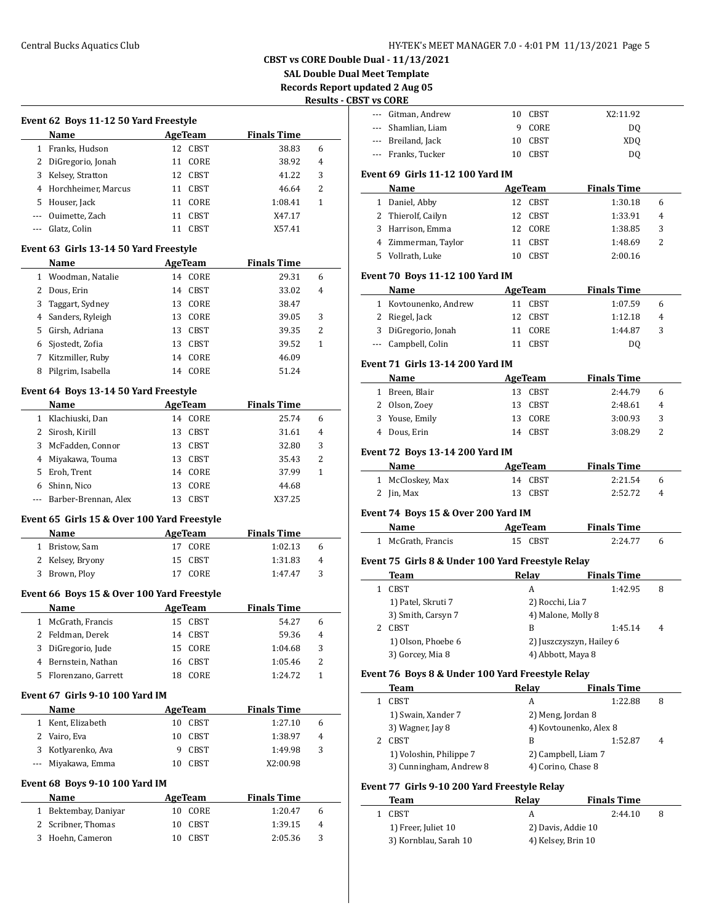**SAL Double Dual Meet Template**

**Records Report updated 2 Aug 05**

 $\frac{1}{2}$ 

 $\frac{1}{2}$ 

 $\sim$ 

 $\sim$ 

 $\overline{\phantom{0}}$ 

**RST** v

|                |                                               |    |                |                    | <b>Results - CB</b> |
|----------------|-----------------------------------------------|----|----------------|--------------------|---------------------|
|                | Event 62 Boys 11-12 50 Yard Freestyle         |    |                |                    |                     |
|                | Name                                          |    | <b>AgeTeam</b> | <b>Finals Time</b> |                     |
|                | 1 Franks, Hudson                              |    | 12 CBST        | 38.83              | 6                   |
|                | 2 DiGregorio, Jonah                           |    | 11 CORE        | 38.92              | 4                   |
|                | 3 Kelsey, Stratton                            |    | 12 CBST        | 41.22              | 3                   |
|                | 4 Horchheimer, Marcus                         |    | 11 CBST        | 46.64              | 2                   |
|                | 5 Houser, Jack                                |    | 11 CORE        | 1:08.41            | $\mathbf{1}$        |
|                | --- Ouimette, Zach                            |    | 11 CBST        | X47.17             |                     |
|                | --- Glatz, Colin                              |    | 11 CBST        | X57.41             |                     |
|                | Event 63 Girls 13-14 50 Yard Freestyle        |    |                |                    |                     |
|                | Name                                          |    | AgeTeam        | <b>Finals Time</b> |                     |
| $\mathbf{1}$   | Woodman, Natalie                              |    | 14 CORE        | 29.31              | 6                   |
| 2              |                                               |    |                |                    | 4                   |
|                | Dous, Erin                                    |    | 14 CBST        | 33.02              |                     |
| 3              | Taggart, Sydney                               |    | 13 CORE        | 38.47              |                     |
| $\overline{4}$ | Sanders, Ryleigh                              |    | 13 CORE        | 39.05              | 3                   |
|                | 5 Girsh, Adriana                              |    | 13 CBST        | 39.35              | 2                   |
|                | 6 Sjostedt, Zofia                             |    | 13 CBST        | 39.52              | $\mathbf{1}$        |
| 7              | Kitzmiller, Ruby                              |    | 14 CORE        | 46.09              |                     |
| 8              | Pilgrim, Isabella                             |    | 14 CORE        | 51.24              |                     |
|                | Event 64 Boys 13-14 50 Yard Freestyle         |    |                |                    |                     |
|                | Name                                          |    | <b>AgeTeam</b> | <b>Finals Time</b> |                     |
|                | 1 Klachiuski, Dan                             |    | 14 CORE        | 25.74              | 6                   |
| 2              | Sirosh, Kirill                                |    | 13 CBST        | 31.61              | 4                   |
| 3              | McFadden, Connor                              |    | 13 CBST        | 32.80              | 3                   |
| 4              | Miyakawa, Touma                               |    | 13 CBST        | 35.43              | 2                   |
| 5              | Eroh, Trent                                   |    | 14 CORE        | 37.99              | 1                   |
|                | 6 Shinn, Nico                                 |    | 13 CORE        | 44.68              |                     |
|                | Barber-Brennan, Alex                          |    | 13 CBST        | X37.25             |                     |
|                | Event 65 Girls 15 & Over 100 Yard Freestyle   |    |                |                    |                     |
|                | Name                                          |    | <b>AgeTeam</b> | <b>Finals Time</b> |                     |
|                | 1 Bristow, Sam                                |    | 17 CORE        | 1:02.13            | 6                   |
| 2              | Kelsey, Bryony                                |    | 15 CBST        | 1:31.83            | 4                   |
| 3              | Brown, Ploy                                   |    | 17 CORE        | 1:47.47            | 3                   |
|                | Event 66 Boys 15 & Over 100 Yard Freestyle    |    |                |                    |                     |
|                | Name                                          |    | <b>AgeTeam</b> | <b>Finals Time</b> |                     |
| 1              | McGrath, Francis                              |    | 15 CBST        | 54.27              | 6                   |
| 2              | Feldman, Derek                                |    | 14 CBST        | 59.36              | 4                   |
| 3              | DiGregorio, Jude                              |    | 15 CORE        | 1:04.68            | 3                   |
| 4              | Bernstein, Nathan                             | 16 | CBST           | 1:05.46            | 2                   |
| 5              | Florenzano, Garrett                           | 18 | CORE           | 1:24.72            | $\mathbf{1}$        |
|                | <b>Event 67 Girls 9-10 100 Yard IM</b>        |    |                |                    |                     |
|                | Name                                          |    | AgeTeam        | <b>Finals Time</b> |                     |
| 1              | Kent, Elizabeth                               |    | 10 CBST        | 1:27.10            | 6                   |
| 2              | Vairo, Eva                                    | 10 | CBST           | 1:38.97            | 4                   |
| 3              | Kotlyarenko, Ava                              | 9  | CBST           | 1:49.98            | 3                   |
| ---            | Miyakawa, Emma                                | 10 | CBST           | X2:00.98           |                     |
|                |                                               |    |                |                    |                     |
|                | <b>Event 68 Boys 9-10 100 Yard IM</b><br>Name |    | <b>AgeTeam</b> | <b>Finals Time</b> |                     |
| $\mathbf{1}$   | Bektembay, Daniyar                            |    | 10 CORE        | 1:20.47            | 6                   |
|                |                                               |    |                |                    |                     |
| 2              | Scribner, Thomas                              | 10 | CBST           | 1:39.15            | 4                   |
| 3              | Hoehn, Cameron                                | 10 | CBST           | 2:05.36            | 3                   |

|              | <b>ST</b> vs CORE                                  |         |                  |                                           |   |
|--------------|----------------------------------------------------|---------|------------------|-------------------------------------------|---|
|              | --- Gitman, Andrew                                 |         | 10 CBST          | X2:11.92                                  |   |
| ---          | Shamlian, Liam                                     | 9       | CORE             | DQ                                        |   |
|              | --- Breiland, Jack                                 | 10      | CBST             | XDQ                                       |   |
|              | --- Franks, Tucker                                 | 10      | CBST             | DQ                                        |   |
|              | Event 69  Girls 11-12 100 Yard IM                  |         |                  |                                           |   |
|              | Name                                               |         | <b>AgeTeam</b>   | <b>Finals Time</b>                        |   |
|              | 1 Daniel, Abby                                     |         | 12 CBST          | 1:30.18                                   | 6 |
|              | 2 Thierolf, Cailyn                                 |         | 12 CBST          | 1:33.91                                   | 4 |
|              | 3 Harrison, Emma                                   |         | 12 CORE          | 1:38.85                                   | 3 |
|              | 4 Zimmerman, Taylor                                |         | 11 CBST          | 1:48.69                                   | 2 |
|              | 5 Vollrath, Luke                                   |         | 10 CBST          | 2:00.16                                   |   |
|              |                                                    |         |                  |                                           |   |
|              | Event 70 Boys 11-12 100 Yard IM                    |         |                  |                                           |   |
|              | Name                                               |         | <b>AgeTeam</b>   | <b>Finals Time</b>                        |   |
|              | 1 Kovtounenko, Andrew                              | 11      | CBST             | 1:07.59                                   | 6 |
|              | 2 Riegel, Jack                                     | 12      | CBST             | 1:12.18                                   | 4 |
|              | 3 DiGregorio, Jonah                                | 11      | CORE             | 1:44.87                                   | 3 |
| ---          | Campbell, Colin                                    | 11      | <b>CBST</b>      | DQ                                        |   |
|              | Event 71  Girls 13-14 200 Yard IM                  |         |                  |                                           |   |
|              | <b>Name</b>                                        |         | AgeTeam          | <b>Finals Time</b>                        |   |
| $\mathbf{1}$ | Breen, Blair                                       |         | 13 CBST          | 2:44.79                                   | 6 |
|              | 2 Olson, Zoey                                      |         | 13 CBST          | 2:48.61                                   | 4 |
|              | 3 Youse, Emily                                     |         | 13 CORE          | 3:00.93                                   | 3 |
|              | 4 Dous, Erin                                       |         | 14 CBST          | 3:08.29                                   | 2 |
|              | Event 72 Boys 13-14 200 Yard IM                    |         |                  |                                           |   |
|              | Name                                               |         | AgeTeam          | <b>Finals Time</b>                        |   |
| $\mathbf{1}$ | McCloskey, Max                                     | 14      | CBST             | 2:21.54                                   | 6 |
| 2            | Jin, Max                                           |         | 13 CBST          | 2:52.72                                   | 4 |
|              |                                                    |         |                  |                                           |   |
|              | Event 74  Boys 15 & Over 200 Yard IM<br>Name       | AgeTeam |                  | <b>Finals Time</b>                        |   |
| 1            | McGrath, Francis                                   |         | 15 CBST          | 2:24.77                                   | 6 |
|              |                                                    |         |                  |                                           |   |
|              | Event 75  Girls 8 & Under 100 Yard Freestyle Relay |         |                  |                                           |   |
|              | Team                                               |         | Relay            | <b>Finals Time</b>                        |   |
|              | 1 CBST                                             |         | A                | 1:42.95                                   | 8 |
|              | 1) Patel, Skruti 7                                 |         | 2) Rocchi, Lia 7 |                                           |   |
|              | 3) Smith, Carsyn 7                                 |         |                  | 4) Malone, Molly 8                        |   |
| 2            | CBST<br>1) Olson, Phoebe 6                         |         | B                | 1:45.14<br>2) Juszczyszyn, Hailey 6       | 4 |
|              | 3) Gorcey, Mia 8                                   |         |                  | 4) Abbott, Maya 8                         |   |
|              |                                                    |         |                  |                                           |   |
|              | Event 76  Boys 8 & Under 100 Yard Freestyle Relay  |         |                  |                                           |   |
|              | Team                                               |         | <b>Relay</b>     | <u>Finals Time</u>                        |   |
| 1            | CBST                                               |         | A                | 1:22.88                                   | 8 |
|              | 1) Swain, Xander 7                                 |         |                  | 2) Meng, Jordan 8                         |   |
|              | 3) Wagner, Jay 8                                   |         |                  | 4) Kovtounenko, Alex 8                    |   |
| 2            | CBST                                               |         | B                | 1:52.87                                   | 4 |
|              | 1) Voloshin, Philippe 7<br>3) Cunningham, Andrew 8 |         |                  | 2) Campbell, Liam 7<br>4) Corino, Chase 8 |   |
|              |                                                    |         |                  |                                           |   |
|              | Event 77 Girls 9-10 200 Yard Freestyle Relay       |         |                  |                                           |   |
|              | Team                                               |         | Relay            | <b>Finals Time</b>                        |   |
| 1            | <b>CBST</b>                                        |         | A                | 2:44.10                                   | 8 |
|              | 1) Freer, Juliet 10                                |         |                  | 2) Davis, Addie 10                        |   |
|              | 3) Kornblau, Sarah 10                              |         |                  | 4) Kelsey, Brin 10                        |   |
|              |                                                    |         |                  |                                           |   |